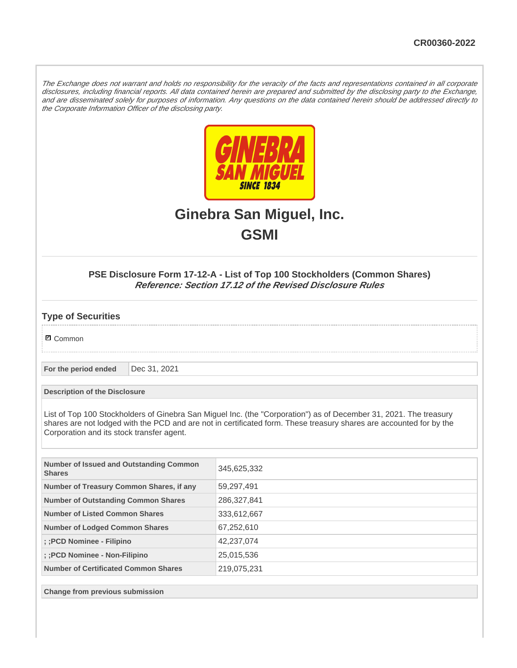The Exchange does not warrant and holds no responsibility for the veracity of the facts and representations contained in all corporate disclosures, including financial reports. All data contained herein are prepared and submitted by the disclosing party to the Exchange, and are disseminated solely for purposes of information. Any questions on the data contained herein should be addressed directly to the Corporate Information Officer of the disclosing party.



# **Ginebra San Miguel, Inc. GSMI**

## **PSE Disclosure Form 17-12-A - List of Top 100 Stockholders (Common Shares) Reference: Section 17.12 of the Revised Disclosure Rules**

## **Type of Securities**

**☑** Common

**For the period ended** Dec 31, 2021

**Description of the Disclosure**

List of Top 100 Stockholders of Ginebra San Miguel Inc. (the "Corporation") as of December 31, 2021. The treasury shares are not lodged with the PCD and are not in certificated form. These treasury shares are accounted for by the Corporation and its stock transfer agent.

| Number of Issued and Outstanding Common<br><b>Shares</b> | 345,625,332 |
|----------------------------------------------------------|-------------|
| Number of Treasury Common Shares, if any                 | 59,297,491  |
| <b>Number of Outstanding Common Shares</b>               | 286,327,841 |
| Number of Listed Common Shares                           | 333,612,667 |
| <b>Number of Lodged Common Shares</b>                    | 67,252,610  |
| :: PCD Nominee - Filipino                                | 42,237,074  |
| :: PCD Nominee - Non-Filipino                            | 25,015,536  |
| <b>Number of Certificated Common Shares</b>              | 219,075,231 |

**Change from previous submission**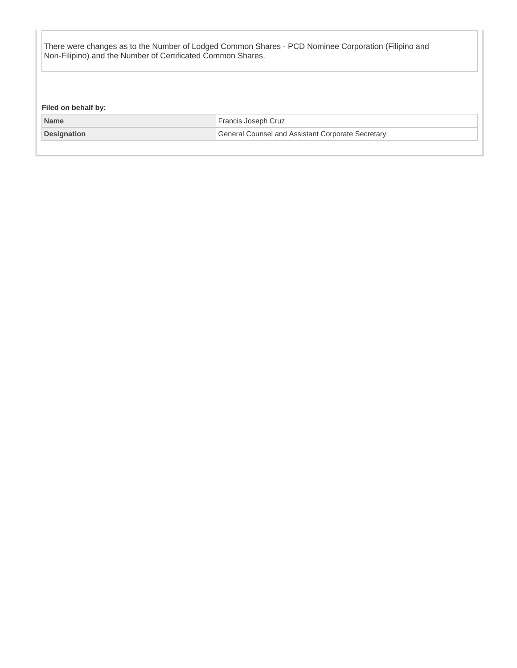There were changes as to the Number of Lodged Common Shares - PCD Nominee Corporation (Filipino and Non-Filipino) and the Number of Certificated Common Shares.

**Filed on behalf by:**

| <b>Name</b> | Francis Joseph Cruz                               |  |
|-------------|---------------------------------------------------|--|
| Designation | General Counsel and Assistant Corporate Secretary |  |
|             |                                                   |  |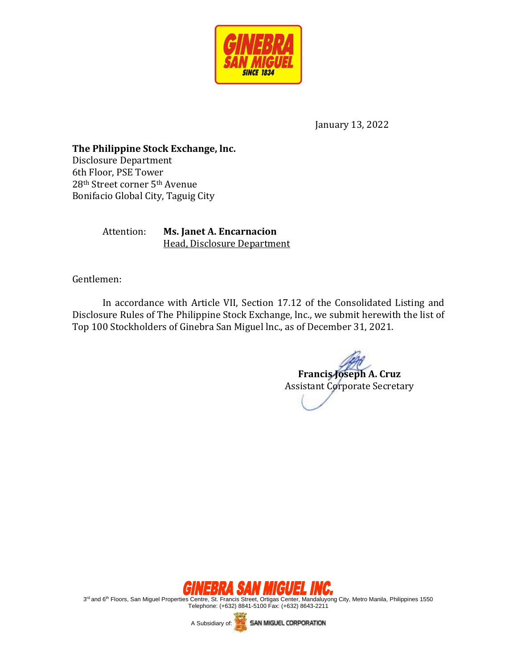

January 13, 2022

**The Philippine Stock Exchange, lnc.**  Disclosure Department 6th Floor, PSE Tower 28th Street corner 5th Avenue Bonifacio Global City, Taguig City

> Attention: **Ms. Janet A. Encarnacion** Head, Disclosure Department

Gentlemen:

In accordance with Article VII, Section 17.12 of the Consolidated Listing and Disclosure Rules of The Philippine Stock Exchange, lnc., we submit herewith the list of Top 100 Stockholders of Ginebra San Miguel lnc., as of December 31, 2021.

**Francis Joseph A. Cruz** Assistant Corporate Secretary



3<sup>rd</sup> and 6<sup>th</sup> Floors, San Miguel Properties Centre, St. Francis Street, Ortigas Center, Mandaluyong City, Metro Manila, Philippines 1550 Telephone: (+632) 8841-5100 Fax: (+632) 8643-2211

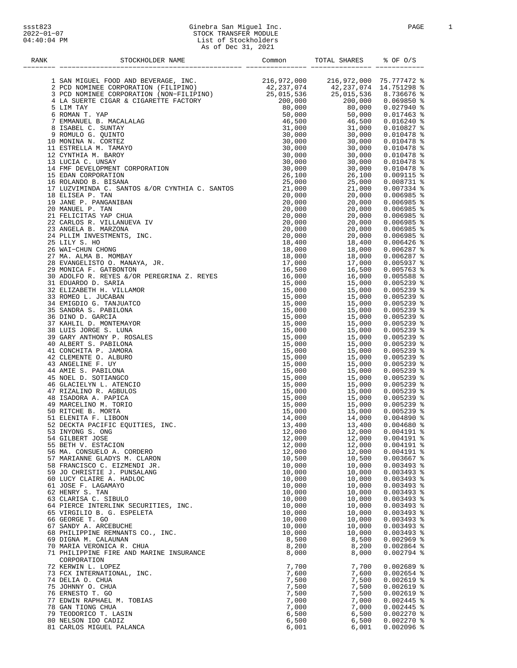#### ssst823 Ginebra San Miguel Inc. PAGE 1 2022−01−07 STOCK TRANSFER MODULE 04:40:04 PM List of Stockholders As of Dec 31, 2021

| RANK | STOCKHOLDER NAME                                                                                                                                                                                | Common           | TOTAL SHARES 8 OF O/S<br>-- ---------- |                              |
|------|-------------------------------------------------------------------------------------------------------------------------------------------------------------------------------------------------|------------------|----------------------------------------|------------------------------|
|      |                                                                                                                                                                                                 |                  |                                        |                              |
|      |                                                                                                                                                                                                 |                  |                                        |                              |
|      |                                                                                                                                                                                                 |                  |                                        |                              |
|      |                                                                                                                                                                                                 |                  |                                        |                              |
|      |                                                                                                                                                                                                 |                  |                                        |                              |
|      |                                                                                                                                                                                                 |                  |                                        |                              |
|      |                                                                                                                                                                                                 |                  |                                        |                              |
|      |                                                                                                                                                                                                 |                  |                                        |                              |
|      |                                                                                                                                                                                                 |                  |                                        |                              |
|      |                                                                                                                                                                                                 |                  |                                        |                              |
|      |                                                                                                                                                                                                 |                  |                                        |                              |
|      | 9 ROMULO G. QUINTO<br>10 MONINA N. CORTEZ<br>11 ESTRELLA M. TAMAYO<br>12 CYNTHIA M. BAROY<br>13 LUCIA C. UNSAY<br>14 FMF DEVELOPMENT CORPORATION<br>15 EDAN CORPORATION<br>16 ROLANDO B. BISANA |                  |                                        |                              |
|      |                                                                                                                                                                                                 |                  |                                        |                              |
|      |                                                                                                                                                                                                 |                  |                                        |                              |
|      |                                                                                                                                                                                                 |                  |                                        |                              |
|      |                                                                                                                                                                                                 |                  |                                        |                              |
|      |                                                                                                                                                                                                 |                  |                                        |                              |
|      |                                                                                                                                                                                                 |                  |                                        |                              |
|      |                                                                                                                                                                                                 |                  |                                        |                              |
|      |                                                                                                                                                                                                 |                  |                                        |                              |
|      |                                                                                                                                                                                                 |                  |                                        |                              |
|      |                                                                                                                                                                                                 |                  |                                        |                              |
|      |                                                                                                                                                                                                 |                  |                                        |                              |
|      |                                                                                                                                                                                                 |                  |                                        |                              |
|      |                                                                                                                                                                                                 |                  |                                        |                              |
|      |                                                                                                                                                                                                 |                  |                                        |                              |
|      |                                                                                                                                                                                                 |                  |                                        |                              |
|      |                                                                                                                                                                                                 |                  |                                        |                              |
|      |                                                                                                                                                                                                 |                  |                                        |                              |
|      |                                                                                                                                                                                                 |                  |                                        |                              |
|      |                                                                                                                                                                                                 |                  |                                        |                              |
|      |                                                                                                                                                                                                 |                  |                                        |                              |
|      |                                                                                                                                                                                                 |                  |                                        |                              |
|      |                                                                                                                                                                                                 |                  |                                        |                              |
|      |                                                                                                                                                                                                 |                  |                                        |                              |
|      |                                                                                                                                                                                                 |                  |                                        |                              |
|      |                                                                                                                                                                                                 |                  |                                        |                              |
|      |                                                                                                                                                                                                 |                  |                                        |                              |
|      |                                                                                                                                                                                                 |                  |                                        |                              |
|      |                                                                                                                                                                                                 |                  |                                        |                              |
|      |                                                                                                                                                                                                 |                  |                                        |                              |
|      |                                                                                                                                                                                                 |                  |                                        |                              |
|      |                                                                                                                                                                                                 |                  |                                        |                              |
|      |                                                                                                                                                                                                 |                  |                                        |                              |
|      |                                                                                                                                                                                                 |                  |                                        |                              |
|      |                                                                                                                                                                                                 |                  |                                        |                              |
|      |                                                                                                                                                                                                 |                  |                                        |                              |
|      |                                                                                                                                                                                                 |                  |                                        |                              |
|      |                                                                                                                                                                                                 |                  |                                        |                              |
|      |                                                                                                                                                                                                 |                  |                                        |                              |
|      |                                                                                                                                                                                                 |                  |                                        |                              |
|      | 54 GILBERT JOSE                                                                                                                                                                                 | 12,000           | 12,000                                 | $0.004191$ %<br>$0.004191$ % |
|      | 55 BETH V. ESTACION<br>56 MA. CONSUELO A. CORDERO                                                                                                                                               | 12,000<br>12,000 | 12,000<br>12,000                       | $0.004191$ %                 |
|      | 57 MARIANNE GLADYS M. CLARON                                                                                                                                                                    | 10,500           | 10,500                                 | $0.003667$ %                 |
|      | 58 FRANCISCO C. EIZMENDI JR.                                                                                                                                                                    | 10,000           | 10,000                                 | $0.003493$ %                 |
|      | 59 JO CHRISTIE J. PUNSALANG                                                                                                                                                                     | 10,000           | 10,000                                 | $0.003493$ %                 |
|      | 60 LUCY CLAIRE A. HADLOC                                                                                                                                                                        | 10,000           | 10,000                                 | $0.003493$ %                 |
|      | 61 JOSE F. LAGAMAYO                                                                                                                                                                             | 10,000           | 10,000                                 | $0.003493$ %                 |
|      | 62 HENRY S. TAN                                                                                                                                                                                 | 10,000           | 10,000                                 | $0.003493$ %                 |
|      | 63 CLARISA C. SIBULO                                                                                                                                                                            | 10,000           | 10,000                                 | $0.003493$ %                 |
|      | 64 PIERCE INTERLINK SECURITIES, INC.                                                                                                                                                            | 10,000           | 10,000                                 | $0.003493$ %                 |
|      | 65 VIRGILIO B. G. ESPELETA                                                                                                                                                                      | 10,000           | 10,000                                 | $0.003493$ %                 |
|      | 66 GEORGE T. GO                                                                                                                                                                                 | 10,000           | 10,000                                 | $0.003493$ %                 |
|      | 67 SANDY A. ARCEBUCHE                                                                                                                                                                           | 10,000           | 10,000                                 | $0.003493$ %                 |
|      | 68 PHILIPPINE REMNANTS CO., INC.                                                                                                                                                                | 10,000           | 10,000                                 | $0.003493$ %                 |
|      | 69 DIGNA M. CALAUNAN                                                                                                                                                                            | 8,500<br>8,200   | 8,500<br>8,200                         | $0.002969$ %                 |
|      | 70 MARIA VERONICA R. CHUA<br>71 PHILIPPINE FIRE AND MARINE INSURANCE                                                                                                                            | 8,000            | 8,000                                  | $0.002864$ %<br>$0.002794$ % |
|      | CORPORATION                                                                                                                                                                                     |                  |                                        |                              |
|      | 72 KERWIN L. LOPEZ                                                                                                                                                                              | 7,700            | 7,700                                  | $0.002689$ %                 |
|      | 73 FCX INTERNATIONAL, INC.                                                                                                                                                                      | 7,600            | 7,600                                  | $0.002654$ %                 |
|      | 74 DELIA O. CHUA                                                                                                                                                                                | 7,500            | 7,500                                  | $0.002619$ %                 |
|      | 75 JOHNNY O. CHUA                                                                                                                                                                               | 7,500            | 7,500                                  | $0.002619$ %                 |
|      | 76 ERNESTO T. GO                                                                                                                                                                                | 7,500            | 7,500                                  | $0.002619$ %                 |
|      | 77 EDWIN RAPHAEL M. TOBIAS                                                                                                                                                                      | 7,000            | 7,000                                  | $0.002445$ %                 |
|      | 78 GAN TIONG CHUA                                                                                                                                                                               | 7,000            | 7,000                                  | $0.002445$ %                 |
|      | 79 TEODORICO T. LASIN                                                                                                                                                                           | 6,500            | 6,500                                  | $0.002270$ %                 |
|      | 80 NELSON IDO CADIZ                                                                                                                                                                             | 6,500            | 6,500                                  | $0.002270$ %                 |
|      | 81 CARLOS MIGUEL PALANCA                                                                                                                                                                        | 6,001            | 6,001                                  | $0.002096$ %                 |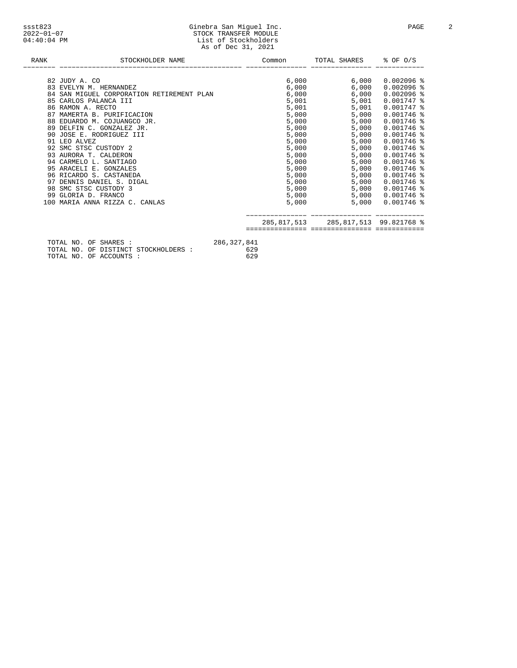| ssst823          | Ginebra San Miguel Inc |
|------------------|------------------------|
| $2022 - 01 - 07$ | STOCK TRANSFER MODULE  |
| $04:40:04$ PM    | List of Stockholders   |
|                  | As of Dec 31, 2021     |
|                  |                        |

| RANK | STOCKHOLDER NAME                                                                       | Common      | TOTAL SHARES                        | % OF 0/S         |
|------|----------------------------------------------------------------------------------------|-------------|-------------------------------------|------------------|
|      | 82 JUDY A. CO                                                                          |             | 6,000 6,000                         | $0.002096$ %     |
|      | 83 EVELYN M. HERNANDEZ                                                                 |             | $6,000$ 6,000                       | $0.002096$ %     |
|      | 84 SAN MIGUEL CORPORATION RETIREMENT PLAN                                              | 6,000       | 6,000                               | $0.002096$ %     |
|      | 85 CARLOS PALANCA III                                                                  |             | 5,001<br>5,001                      | $0.001747$ %     |
|      | 86 RAMON A. RECTO                                                                      |             | 5,001<br>5,001                      | $0.001747$ %     |
|      | 87 MAMERTA B. PURIFICACION                                                             |             | 5,000<br>5,000                      | $0.001746$ %     |
|      | 88 EDUARDO M. COJUANGCO JR.                                                            |             | 5,000<br>5,000                      | $0.001746$ %     |
|      | 89 DELFIN C. GONZALEZ JR.                                                              |             | 5,000<br>5,000                      | $0.001746$ %     |
|      | 90 JOSE E. RODRIGUEZ III                                                               |             | 5,000<br>5,000                      | $0.001746$ %     |
|      | 91 LEO ALVEZ                                                                           |             | 5,000<br>5,000                      | $0.001746$ %     |
|      | 92 SMC STSC CUSTODY 2                                                                  |             | 5,000<br>5,000                      | $0.001746$ %     |
|      | 93 AURORA T. CALDERON                                                                  |             | 5,000<br>5,000                      | $0.001746$ %     |
|      | 94 CARMELO L. SANTIAGO                                                                 |             | 5,000<br>5,000                      | $0.001746$ %     |
|      | 95 ARACELI E. GONZALES                                                                 |             | 5,000<br>5,000                      | $0.001746$ %     |
|      | 96 RICARDO S. CASTANEDA                                                                |             | 5,000<br>5,000                      | $0.001746$ %     |
|      | 97 DENNIS DANIEL S. DIGAL                                                              |             | 5,000<br>5,000                      | $0.001746$ %     |
|      | 98 SMC STSC CUSTODY 3                                                                  |             | 5,000<br>5,000                      | $0.001746$ %     |
|      | 99 GLORIA D. FRANCO                                                                    |             | 5,000                               | 5,000 0.001746 % |
|      | 100 MARIA ANNA RIZZA C. CANLAS                                                         |             | 5,000<br>5,000                      | $0.001746$ %     |
|      |                                                                                        |             | 285,817,513 285,817,513 99.821768 % |                  |
|      |                                                                                        |             |                                     |                  |
|      | TOTAL NO. OF SHARES :<br><b>TOTAL NO. OF DIGTINGT CTOCKLIGIDED :</b><br>$\epsilon$ 200 | 286,327,841 |                                     |                  |

 TOTAL NO. OF DISTINCT STOCKHOLDERS : 629 TOTAL NO. OF ACCOUNTS : 629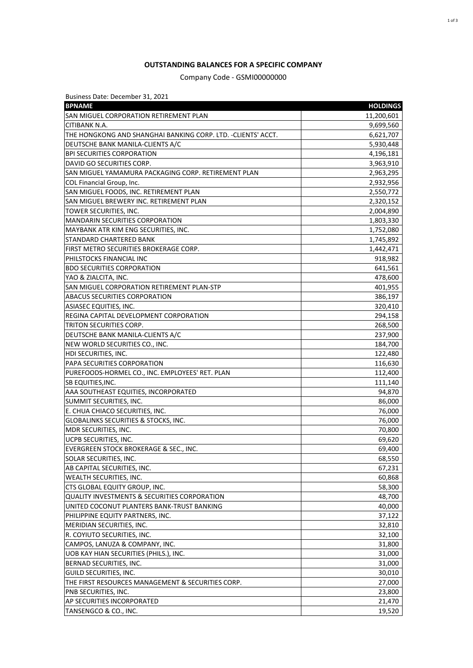#### **OUTSTANDING BALANCES FOR A SPECIFIC COMPANY**

Company Code - GSMI00000000

| Business Date: December 31, 2021                              |                 |
|---------------------------------------------------------------|-----------------|
| <b>BPNAME</b>                                                 | <b>HOLDINGS</b> |
| <b>SAN MIGUEL CORPORATION RETIREMENT PLAN</b>                 | 11,200,601      |
| CITIBANK N.A.                                                 | 9,699,560       |
| THE HONGKONG AND SHANGHAI BANKING CORP. LTD. - CLIENTS' ACCT. | 6,621,707       |
| DEUTSCHE BANK MANILA-CLIENTS A/C                              | 5,930,448       |
| <b>BPI SECURITIES CORPORATION</b>                             | 4,196,181       |
| DAVID GO SECURITIES CORP.                                     | 3,963,910       |
| SAN MIGUEL YAMAMURA PACKAGING CORP. RETIREMENT PLAN           | 2,963,295       |
| COL Financial Group, Inc.                                     | 2,932,956       |
| SAN MIGUEL FOODS, INC. RETIREMENT PLAN                        | 2,550,772       |
| SAN MIGUEL BREWERY INC. RETIREMENT PLAN                       | 2,320,152       |
| TOWER SECURITIES, INC.                                        | 2,004,890       |
| MANDARIN SECURITIES CORPORATION                               | 1,803,330       |
| MAYBANK ATR KIM ENG SECURITIES, INC.                          | 1,752,080       |
| STANDARD CHARTERED BANK                                       | 1,745,892       |
| FIRST METRO SECURITIES BROKERAGE CORP.                        | 1,442,471       |
| PHILSTOCKS FINANCIAL INC                                      | 918,982         |
| <b>BDO SECURITIES CORPORATION</b>                             | 641,561         |
| YAO & ZIALCITA, INC.                                          | 478,600         |
| SAN MIGUEL CORPORATION RETIREMENT PLAN-STP                    | 401,955         |
| <b>ABACUS SECURITIES CORPORATION</b>                          | 386,197         |
| <b>ASIASEC EQUITIES, INC.</b>                                 | 320,410         |
| REGINA CAPITAL DEVELOPMENT CORPORATION                        | 294,158         |
| TRITON SECURITIES CORP.                                       | 268,500         |
| DEUTSCHE BANK MANILA-CLIENTS A/C                              | 237,900         |
| NEW WORLD SECURITIES CO., INC.                                | 184,700         |
| HDI SECURITIES, INC.                                          | 122,480         |
| PAPA SECURITIES CORPORATION                                   | 116,630         |
| PUREFOODS-HORMEL CO., INC. EMPLOYEES' RET. PLAN               | 112,400         |
| <b>SB EQUITIES, INC.</b>                                      | 111,140         |
| AAA SOUTHEAST EQUITIES, INCORPORATED                          | 94,870          |
| SUMMIT SECURITIES, INC.                                       | 86,000          |
| E. CHUA CHIACO SECURITIES, INC.                               | 76,000          |
| GLOBALINKS SECURITIES & STOCKS, INC.                          | 76,000          |
| MDR SECURITIES, INC.                                          | 70,800          |
| UCPB SECURITIES, INC.                                         | 69,620          |
| EVERGREEN STOCK BROKERAGE & SEC., INC.                        | 69,400          |
| SOLAR SECURITIES, INC.                                        | 68,550          |
| AB CAPITAL SECURITIES, INC.                                   | 67,231          |
| WEALTH SECURITIES, INC.                                       | 60,868          |
| CTS GLOBAL EQUITY GROUP, INC.                                 | 58,300          |
| <b>QUALITY INVESTMENTS &amp; SECURITIES CORPORATION</b>       | 48,700          |
| UNITED COCONUT PLANTERS BANK-TRUST BANKING                    | 40,000          |
| PHILIPPINE EQUITY PARTNERS, INC.                              |                 |
|                                                               | 37,122          |
| MERIDIAN SECURITIES, INC.                                     | 32,810          |
| R. COYIUTO SECURITIES, INC.                                   | 32,100          |
| CAMPOS, LANUZA & COMPANY, INC.                                | 31,800          |
| UOB KAY HIAN SECURITIES (PHILS.), INC.                        | 31,000          |
| BERNAD SECURITIES, INC.                                       | 31,000          |
| GUILD SECURITIES, INC.                                        | 30,010          |
| THE FIRST RESOURCES MANAGEMENT & SECURITIES CORP.             | 27,000          |
| PNB SECURITIES, INC.                                          | 23,800          |
| AP SECURITIES INCORPORATED                                    | 21,470          |
| TANSENGCO & CO., INC.                                         | 19,520          |